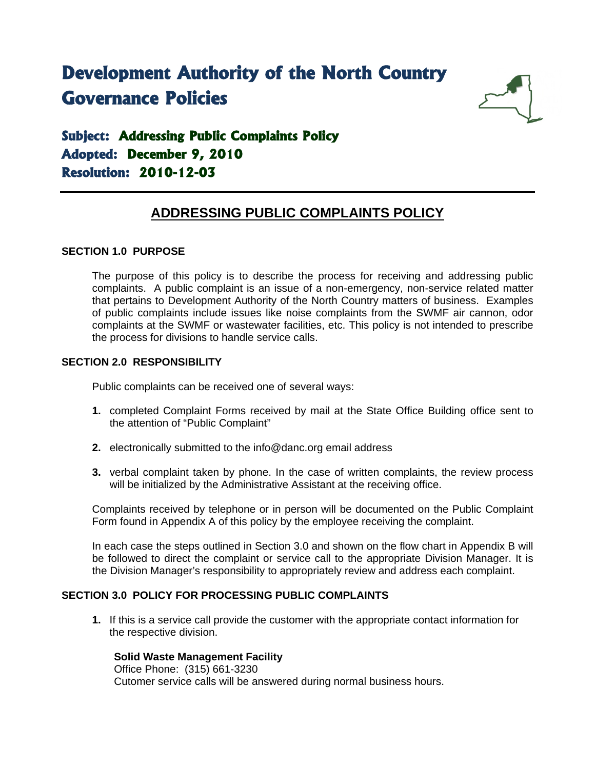# **Development Authority of the North Country Governance Policies**



# **Subject: Addressing Public Complaints Policy Adopted: December 9, 2010 Resolution: 2010-12-03**

## **ADDRESSING PUBLIC COMPLAINTS POLICY**

### **SECTION 1.0 PURPOSE**

The purpose of this policy is to describe the process for receiving and addressing public complaints. A public complaint is an issue of a non-emergency, non-service related matter that pertains to Development Authority of the North Country matters of business. Examples of public complaints include issues like noise complaints from the SWMF air cannon, odor complaints at the SWMF or wastewater facilities, etc. This policy is not intended to prescribe the process for divisions to handle service calls.

### **SECTION 2.0 RESPONSIBILITY**

Public complaints can be received one of several ways:

- **1.** completed Complaint Forms received by mail at the State Office Building office sent to the attention of "Public Complaint"
- **2.** electronically submitted to the info@danc.org email address
- **3.** verbal complaint taken by phone. In the case of written complaints, the review process will be initialized by the Administrative Assistant at the receiving office.

Complaints received by telephone or in person will be documented on the Public Complaint Form found in Appendix A of this policy by the employee receiving the complaint.

In each case the steps outlined in Section 3.0 and shown on the flow chart in Appendix B will be followed to direct the complaint or service call to the appropriate Division Manager. It is the Division Manager's responsibility to appropriately review and address each complaint.

### **SECTION 3.0 POLICY FOR PROCESSING PUBLIC COMPLAINTS**

**1.** If this is a service call provide the customer with the appropriate contact information for the respective division.

#### **Solid Waste Management Facility**

Office Phone: (315) 661-3230 Cutomer service calls will be answered during normal business hours.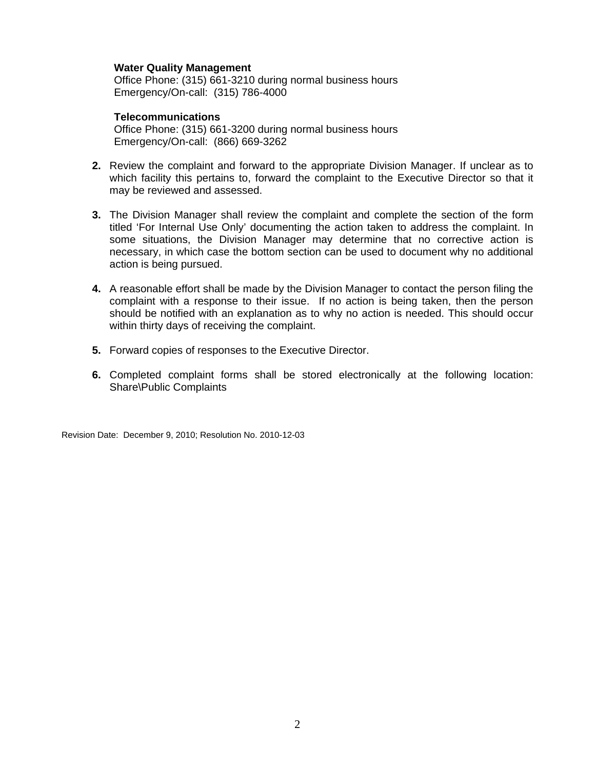#### **Water Quality Management**

Office Phone: (315) 661-3210 during normal business hours Emergency/On-call: (315) 786-4000

#### **Telecommunications**

Office Phone: (315) 661-3200 during normal business hours Emergency/On-call: (866) 669-3262

- **2.** Review the complaint and forward to the appropriate Division Manager. If unclear as to which facility this pertains to, forward the complaint to the Executive Director so that it may be reviewed and assessed.
- **3.** The Division Manager shall review the complaint and complete the section of the form titled 'For Internal Use Only' documenting the action taken to address the complaint. In some situations, the Division Manager may determine that no corrective action is necessary, in which case the bottom section can be used to document why no additional action is being pursued.
- **4.** A reasonable effort shall be made by the Division Manager to contact the person filing the complaint with a response to their issue. If no action is being taken, then the person should be notified with an explanation as to why no action is needed. This should occur within thirty days of receiving the complaint.
- **5.** Forward copies of responses to the Executive Director.
- **6.** Completed complaint forms shall be stored electronically at the following location: Share\Public Complaints

Revision Date: December 9, 2010; Resolution No. 2010-12-03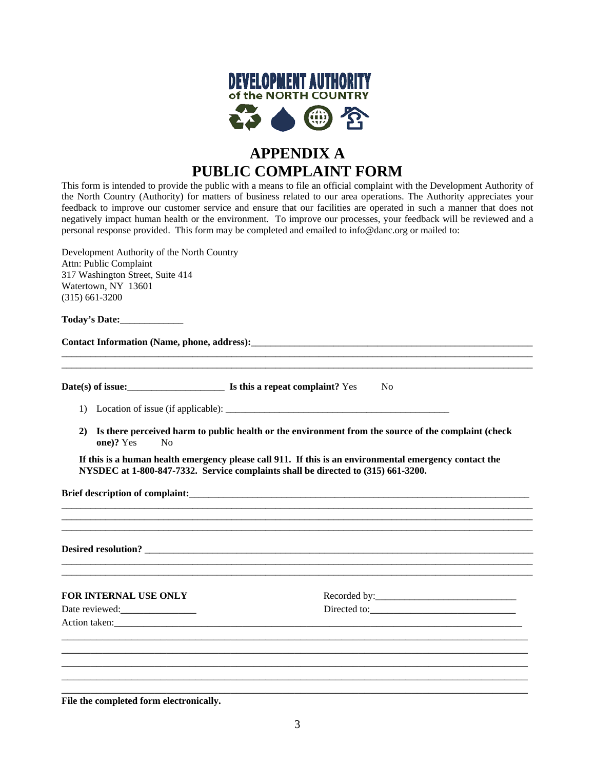

# **APPENDIX A PUBLIC COMPLAINT FORM**

This form is intended to provide the public with a means to file an official complaint with the Development Authority of the North Country (Authority) for matters of business related to our area operations. The Authority appreciates your feedback to improve our customer service and ensure that our facilities are operated in such a manner that does not negatively impact human health or the environment. To improve our processes, your feedback will be reviewed and a personal response provided. This form may be completed and emailed to info@danc.org or mailed to:

Development Authority of the North Country Attn: Public Complaint 317 Washington Street, Suite 414 Watertown, NY 13601 (315) 661-3200

**Today's Date:**\_\_\_\_\_\_\_\_\_\_\_\_\_

**Contact Information (Name, phone, address):**\_\_\_\_\_\_\_\_\_\_\_\_\_\_\_\_\_\_\_\_\_\_\_\_\_\_\_\_\_\_\_\_\_\_\_\_\_\_\_\_\_\_\_\_\_\_\_\_\_\_\_\_\_\_\_\_\_\_

**Date(s) of issue: Is this a repeat complaint?**  $Y$ es No

- 1) Location of issue (if applicable): \_\_\_\_\_\_\_\_\_\_\_\_\_\_\_\_\_\_\_\_\_\_\_\_\_\_\_\_\_\_\_\_\_\_\_\_\_\_\_\_\_\_\_\_\_\_
- **2) Is there perceived harm to public health or the environment from the source of the complaint (check one)?** Yes No

 $\_$  ,  $\_$  ,  $\_$  ,  $\_$  ,  $\_$  ,  $\_$  ,  $\_$  ,  $\_$  ,  $\_$  ,  $\_$  ,  $\_$  ,  $\_$  ,  $\_$  ,  $\_$  ,  $\_$  ,  $\_$  ,  $\_$  ,  $\_$  ,  $\_$  ,  $\_$  ,  $\_$  ,  $\_$  ,  $\_$  ,  $\_$  ,  $\_$  ,  $\_$  ,  $\_$  ,  $\_$  ,  $\_$  ,  $\_$  ,  $\_$  ,  $\_$  ,  $\_$  ,  $\_$  ,  $\_$  ,  $\_$  ,  $\_$  ,  $\_$  ,  $\_$  ,  $\_$  ,  $\_$  ,  $\_$  ,  $\_$  ,  $\_$  ,  $\_$  ,  $\_$  ,  $\_$  ,  $\_$  ,  $\_$  ,  $\_$  ,  $\_$  ,  $\_$  ,  $\_$  ,  $\_$  ,  $\_$  ,  $\_$  ,  $\_$  ,  $\_$  ,  $\_$  ,  $\_$  ,  $\_$  ,  $\_$  ,  $\_$  ,  $\_$  ,  $\_$  ,  $\_$  ,  $\_$  ,  $\_$  ,  $\_$  ,  $\_$  ,  $\_$  ,  $\_$  ,  $\_$  ,  $\_$  , \_\_\_\_\_\_\_\_\_\_\_\_\_\_\_\_\_\_\_\_\_\_\_\_\_\_\_\_\_\_\_\_\_\_\_\_\_\_\_\_\_\_\_\_\_\_\_\_\_\_\_\_\_\_\_\_\_\_\_\_\_\_\_\_\_\_\_\_\_\_\_\_\_\_\_\_\_\_\_\_\_\_\_\_\_\_\_\_\_\_\_\_\_\_\_\_\_

\_\_\_\_\_\_\_\_\_\_\_\_\_\_\_\_\_\_\_\_\_\_\_\_\_\_\_\_\_\_\_\_\_\_\_\_\_\_\_\_\_\_\_\_\_\_\_\_\_\_\_\_\_\_\_\_\_\_\_\_\_\_\_\_\_\_\_\_\_\_\_\_\_\_\_\_\_\_\_\_\_\_\_\_\_\_\_\_\_\_\_\_\_\_\_\_\_  $\_$  ,  $\_$  ,  $\_$  ,  $\_$  ,  $\_$  ,  $\_$  ,  $\_$  ,  $\_$  ,  $\_$  ,  $\_$  ,  $\_$  ,  $\_$  ,  $\_$  ,  $\_$  ,  $\_$  ,  $\_$  ,  $\_$  ,  $\_$  ,  $\_$  ,  $\_$  ,  $\_$  ,  $\_$  ,  $\_$  ,  $\_$  ,  $\_$  ,  $\_$  ,  $\_$  ,  $\_$  ,  $\_$  ,  $\_$  ,  $\_$  ,  $\_$  ,  $\_$  ,  $\_$  ,  $\_$  ,  $\_$  ,  $\_$  ,

 $\_$  ,  $\_$  ,  $\_$  ,  $\_$  ,  $\_$  ,  $\_$  ,  $\_$  ,  $\_$  ,  $\_$  ,  $\_$  ,  $\_$  ,  $\_$  ,  $\_$  ,  $\_$  ,  $\_$  ,  $\_$  ,  $\_$  ,  $\_$  ,  $\_$  ,  $\_$  ,  $\_$  ,  $\_$  ,  $\_$  ,  $\_$  ,  $\_$  ,  $\_$  ,  $\_$  ,  $\_$  ,  $\_$  ,  $\_$  ,  $\_$  ,  $\_$  ,  $\_$  ,  $\_$  ,  $\_$  ,  $\_$  ,  $\_$  ,  $\_$  ,  $\_$  ,  $\_$  ,  $\_$  ,  $\_$  ,  $\_$  ,  $\_$  ,  $\_$  ,  $\_$  ,  $\_$  ,  $\_$  ,  $\_$  ,  $\_$  ,  $\_$  ,  $\_$  ,  $\_$  ,  $\_$  ,  $\_$  ,  $\_$  ,  $\_$  ,  $\_$  ,  $\_$  ,  $\_$  ,  $\_$  ,  $\_$  ,  $\_$  ,  $\_$  ,  $\_$  ,  $\_$  ,  $\_$  ,  $\_$  ,  $\_$  ,  $\_$  ,  $\_$  ,  $\_$  ,  $\_$  ,  $\_$  ,

**If this is a human health emergency please call 911. If this is an environmental emergency contact the NYSDEC at 1-800-847-7332. Service complaints shall be directed to (315) 661-3200.**

**Brief description of complaint:** 

**Desired resolution?** \_\_\_\_\_\_\_\_\_\_\_\_\_\_\_\_\_\_\_\_\_\_\_\_\_\_\_\_\_\_\_\_\_\_\_\_\_\_\_\_\_\_\_\_\_\_\_\_\_\_\_\_\_\_\_\_\_\_\_\_\_\_\_\_\_\_\_\_\_\_\_\_\_\_\_\_\_\_\_\_

| FOR INTERNAL USE ONLY |  |
|-----------------------|--|
|                       |  |
| Action taken:         |  |
|                       |  |
|                       |  |
|                       |  |

**File the completed form electronically.** 

\_\_\_\_\_\_\_\_\_\_\_\_\_\_\_\_\_\_\_\_\_\_\_\_\_\_\_\_\_\_\_\_\_\_\_\_\_\_\_\_\_\_\_\_\_\_\_\_\_\_\_\_\_\_\_\_\_\_\_\_\_\_\_\_\_\_\_\_\_\_\_\_\_\_\_\_\_\_\_\_